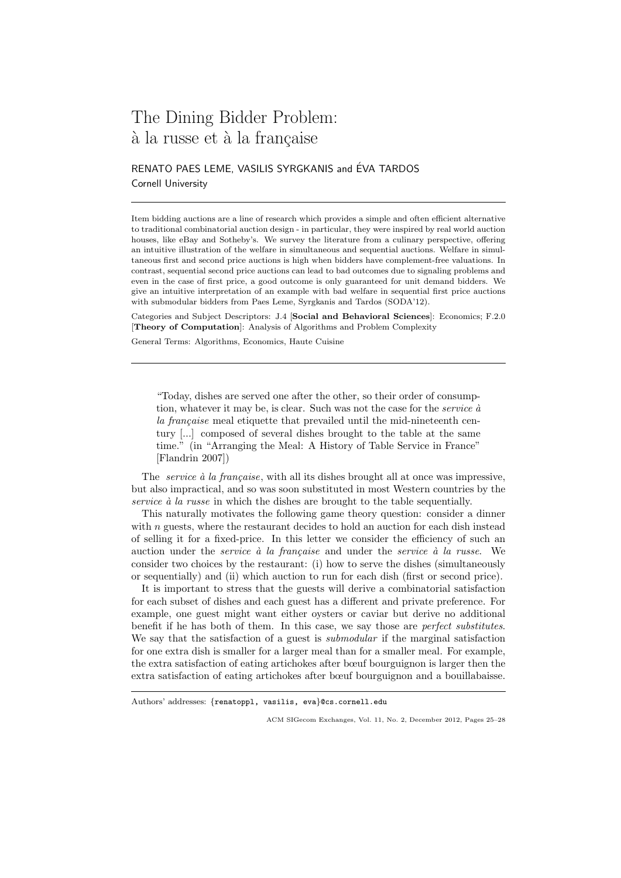# The Dining Bidder Problem: à la russe et à la française

## RENATO PAES LEME, VASILIS SYRGKANIS and ÉVA TARDOS Cornell University

Item bidding auctions are a line of research which provides a simple and often efficient alternative to traditional combinatorial auction design - in particular, they were inspired by real world auction houses, like eBay and Sotheby's. We survey the literature from a culinary perspective, offering an intuitive illustration of the welfare in simultaneous and sequential auctions. Welfare in simultaneous first and second price auctions is high when bidders have complement-free valuations. In contrast, sequential second price auctions can lead to bad outcomes due to signaling problems and even in the case of first price, a good outcome is only guaranteed for unit demand bidders. We give an intuitive interpretation of an example with bad welfare in sequential first price auctions with submodular bidders from Paes Leme, Syrgkanis and Tardos (SODA'12).

Categories and Subject Descriptors: J.4 [Social and Behavioral Sciences]: Economics; F.2.0 [Theory of Computation]: Analysis of Algorithms and Problem Complexity

General Terms: Algorithms, Economics, Haute Cuisine

"Today, dishes are served one after the other, so their order of consumption, whatever it may be, is clear. Such was not the case for the *service*  $\dot{a}$ la française meal etiquette that prevailed until the mid-nineteenth century [...] composed of several dishes brought to the table at the same time." (in "Arranging the Meal: A History of Table Service in France" [Flandrin 2007])

The *service*  $\dot{a}$  la francaise, with all its dishes brought all at once was impressive, but also impractical, and so was soon substituted in most Western countries by the service  $\dot{a}$  la russe in which the dishes are brought to the table sequentially.

This naturally motivates the following game theory question: consider a dinner with  $n$  guests, where the restaurant decides to hold an auction for each dish instead of selling it for a fixed-price. In this letter we consider the efficiency of such an auction under the *service*  $\dot{a}$  la française and under the *service*  $\dot{a}$  la russe. We consider two choices by the restaurant: (i) how to serve the dishes (simultaneously or sequentially) and (ii) which auction to run for each dish (first or second price).

It is important to stress that the guests will derive a combinatorial satisfaction for each subset of dishes and each guest has a different and private preference. For example, one guest might want either oysters or caviar but derive no additional benefit if he has both of them. In this case, we say those are perfect substitutes. We say that the satisfaction of a guest is *submodular* if the marginal satisfaction for one extra dish is smaller for a larger meal than for a smaller meal. For example, the extra satisfaction of eating artichokes after bœuf bourguignon is larger then the extra satisfaction of eating artichokes after bœuf bourguignon and a bouillabaisse.

Authors' addresses: {renatoppl, vasilis, eva}@cs.cornell.edu

ACM SIGecom Exchanges, Vol. 11, No. 2, December 2012, Pages 25–28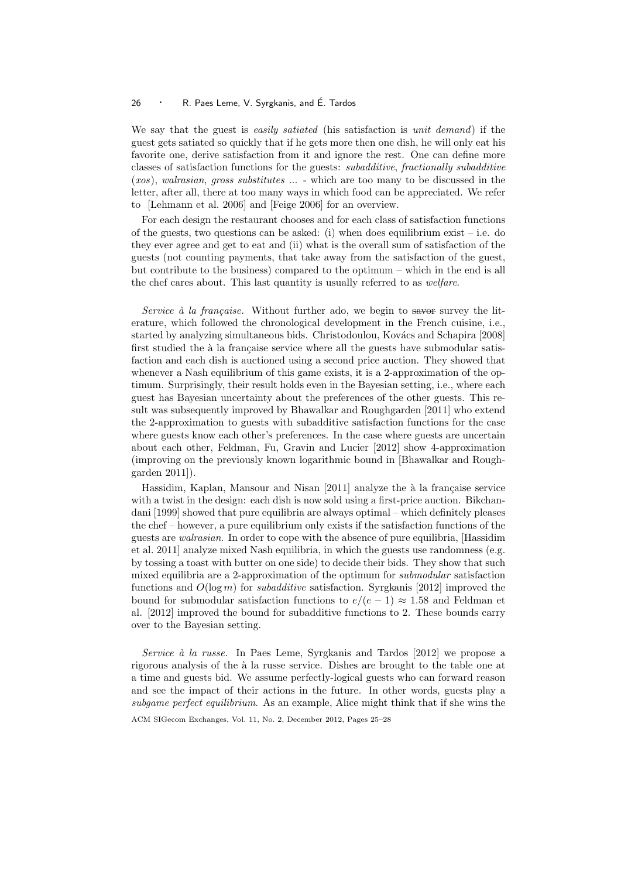### 26 **· R. Paes Leme, V. Syrgkanis, and É. Tardos**

We say that the guest is easily satiated (his satisfaction is unit demand) if the guest gets satiated so quickly that if he gets more then one dish, he will only eat his favorite one, derive satisfaction from it and ignore the rest. One can define more classes of satisfaction functions for the guests: subadditive, fractionally subadditive  $(xos)$ , walrasian, gross substitutes  $\dots$  - which are too many to be discussed in the letter, after all, there at too many ways in which food can be appreciated. We refer to [Lehmann et al. 2006] and [Feige 2006] for an overview.

For each design the restaurant chooses and for each class of satisfaction functions of the guests, two questions can be asked: (i) when does equilibrium exist – i.e. do they ever agree and get to eat and (ii) what is the overall sum of satisfaction of the guests (not counting payments, that take away from the satisfaction of the guest, but contribute to the business) compared to the optimum – which in the end is all the chef cares about. This last quantity is usually referred to as welfare.

Service  $\dot{a}$  la française. Without further ado, we begin to savor survey the literature, which followed the chronological development in the French cuisine, i.e., started by analyzing simultaneous bids. Christodoulou, Kovács and Schapira [2008] first studied the  $\alpha$  la française service where all the guests have submodular satisfaction and each dish is auctioned using a second price auction. They showed that whenever a Nash equilibrium of this game exists, it is a 2-approximation of the optimum. Surprisingly, their result holds even in the Bayesian setting, i.e., where each guest has Bayesian uncertainty about the preferences of the other guests. This result was subsequently improved by Bhawalkar and Roughgarden [2011] who extend the 2-approximation to guests with subadditive satisfaction functions for the case where guests know each other's preferences. In the case where guests are uncertain about each other, Feldman, Fu, Gravin and Lucier [2012] show 4-approximation (improving on the previously known logarithmic bound in [Bhawalkar and Roughgarden 2011]).

Hassidim, Kaplan, Mansour and Nisan [2011] analyze the à la française service with a twist in the design: each dish is now sold using a first-price auction. Bikchandani [1999] showed that pure equilibria are always optimal – which definitely pleases the chef – however, a pure equilibrium only exists if the satisfaction functions of the guests are walrasian. In order to cope with the absence of pure equilibria, [Hassidim et al. 2011] analyze mixed Nash equilibria, in which the guests use randomness (e.g. by tossing a toast with butter on one side) to decide their bids. They show that such mixed equilibria are a 2-approximation of the optimum for submodular satisfaction functions and  $O(\log m)$  for *subadditive* satisfaction. Syrgkanis [2012] improved the bound for submodular satisfaction functions to  $e/(e-1) \approx 1.58$  and Feldman et al. [2012] improved the bound for subadditive functions to 2. These bounds carry over to the Bayesian setting.

Service  $\dot{a}$  la russe. In Paes Leme, Syrgkanis and Tardos [2012] we propose a rigorous analysis of the à la russe service. Dishes are brought to the table one at a time and guests bid. We assume perfectly-logical guests who can forward reason and see the impact of their actions in the future. In other words, guests play a subgame perfect equilibrium. As an example, Alice might think that if she wins the

ACM SIGecom Exchanges, Vol. 11, No. 2, December 2012, Pages 25–28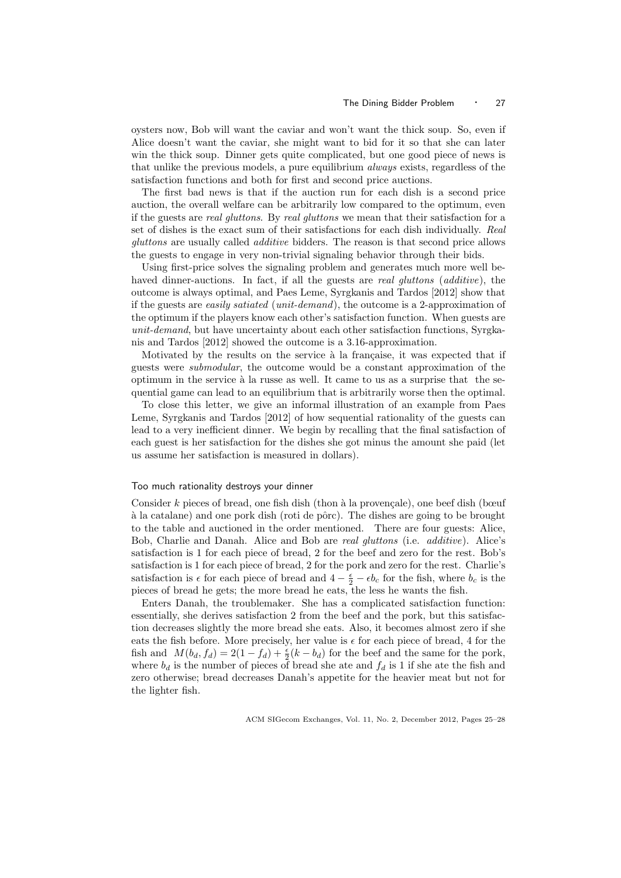oysters now, Bob will want the caviar and won't want the thick soup. So, even if Alice doesn't want the caviar, she might want to bid for it so that she can later win the thick soup. Dinner gets quite complicated, but one good piece of news is that unlike the previous models, a pure equilibrium always exists, regardless of the satisfaction functions and both for first and second price auctions.

The first bad news is that if the auction run for each dish is a second price auction, the overall welfare can be arbitrarily low compared to the optimum, even if the guests are real gluttons. By real gluttons we mean that their satisfaction for a set of dishes is the exact sum of their satisfactions for each dish individually. Real gluttons are usually called additive bidders. The reason is that second price allows the guests to engage in very non-trivial signaling behavior through their bids.

Using first-price solves the signaling problem and generates much more well behaved dinner-auctions. In fact, if all the guests are *real gluttons* (*additive*), the outcome is always optimal, and Paes Leme, Syrgkanis and Tardos [2012] show that if the guests are easily satiated (unit-demand), the outcome is a 2-approximation of the optimum if the players know each other's satisfaction function. When guests are unit-demand, but have uncertainty about each other satisfaction functions, Syrgkanis and Tardos [2012] showed the outcome is a 3.16-approximation.

Motivated by the results on the service à la française, it was expected that if guests were submodular, the outcome would be a constant approximation of the optimum in the service `a la russe as well. It came to us as a surprise that the sequential game can lead to an equilibrium that is arbitrarily worse then the optimal.

To close this letter, we give an informal illustration of an example from Paes Leme, Syrgkanis and Tardos [2012] of how sequential rationality of the guests can lead to a very inefficient dinner. We begin by recalling that the final satisfaction of each guest is her satisfaction for the dishes she got minus the amount she paid (let us assume her satisfaction is measured in dollars).

### Too much rationality destroys your dinner

Consider  $k$  pieces of bread, one fish dish (thon à la provençale), one beef dish (bœuf à la catalane) and one pork dish (roti de pôrc). The dishes are going to be brought to the table and auctioned in the order mentioned. There are four guests: Alice, Bob, Charlie and Danah. Alice and Bob are real gluttons (i.e. additive). Alice's satisfaction is 1 for each piece of bread, 2 for the beef and zero for the rest. Bob's satisfaction is 1 for each piece of bread, 2 for the pork and zero for the rest. Charlie's satisfaction is  $\epsilon$  for each piece of bread and  $4 - \frac{\epsilon}{2} - \epsilon b_c$  for the fish, where  $b_c$  is the pieces of bread he gets; the more bread he eats, the less he wants the fish.

Enters Danah, the troublemaker. She has a complicated satisfaction function: essentially, she derives satisfaction 2 from the beef and the pork, but this satisfaction decreases slightly the more bread she eats. Also, it becomes almost zero if she eats the fish before. More precisely, her value is  $\epsilon$  for each piece of bread, 4 for the fish and  $M(b_d, f_d) = 2(1 - f_d) + \frac{\epsilon}{2}(k - b_d)$  for the beef and the same for the pork, where  $b_d$  is the number of pieces of bread she ate and  $f_d$  is 1 if she ate the fish and zero otherwise; bread decreases Danah's appetite for the heavier meat but not for the lighter fish.

ACM SIGecom Exchanges, Vol. 11, No. 2, December 2012, Pages 25–28